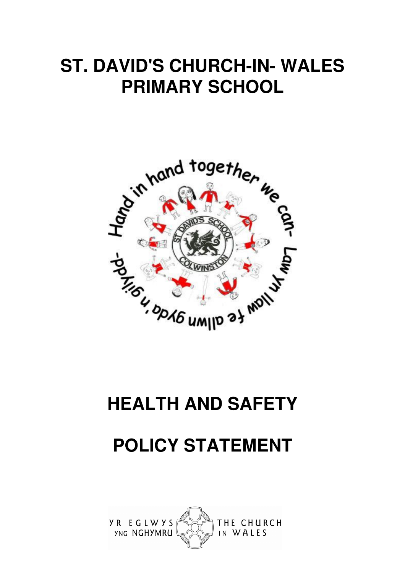# **ST. DAVID'S CHURCH-IN- WALES PRIMARY SCHOOL**



# **HEALTH AND SAFETY**

# **POLICY STATEMENT**

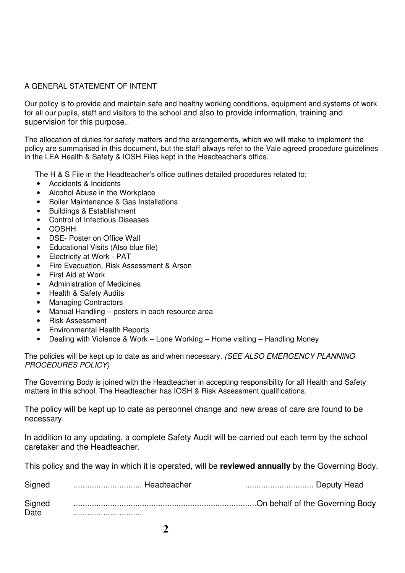# A GENERAL STATEMENT OF INTENT

Our policy is to provide and maintain safe and healthy working conditions, equipment and systems of work for all our pupils, staff and visitors to the school and also to provide information, training and supervision for this purpose..

The allocation of duties for safety matters and the arrangements, which we will make to implement the policy are summarised in this document, but the staff always refer to the Vale agreed procedure guidelines in the LEA Health & Safety & IOSH Files kept in the Headteacher's office.

The H & S File in the Headteacher's office outlines detailed procedures related to:

- Accidents & Incidents
- Alcohol Abuse in the Workplace
- Boiler Maintenance & Gas Installations
- Buildings & Establishment
- Control of Infectious Diseases
- COSHH
- DSE- Poster on Office Wall
- Educational Visits (Also blue file)
- Electricity at Work PAT
- Fire Evacuation, Risk Assessment & Arson
- First Aid at Work
- Administration of Medicines
- Health & Safety Audits
- Managing Contractors
- Manual Handling posters in each resource area
- Risk Assessment
- Environmental Health Reports
- Dealing with Violence & Work Lone Working Home visiting Handling Money

The policies will be kept up to date as and when necessary. (SEE ALSO EMERGENCY PLANNING PROCEDURES POLICY)

The Governing Body is joined with the Headteacher in accepting responsibility for all Health and Safety matters in this school. The Headteacher has IOSH & Risk Assessment qualifications.

The policy will be kept up to date as personnel change and new areas of care are found to be necessary.

In addition to any updating, a complete Safety Audit will be carried out each term by the school caretaker and the Headteacher.

This policy and the way in which it is operated, will be **reviewed annually** by the Governing Body.

| Signed         | Headteacher | Deputy Head |
|----------------|-------------|-------------|
| Signed<br>Date |             |             |
|                |             |             |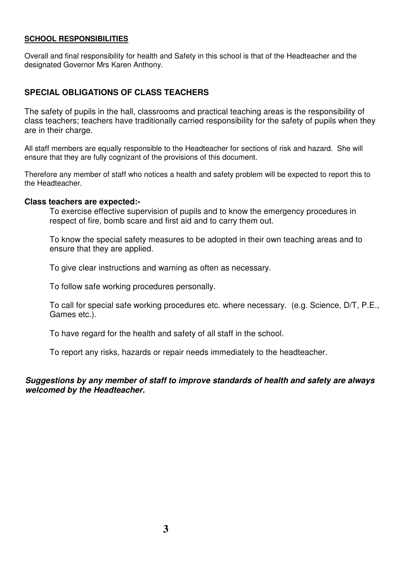#### **SCHOOL RESPONSIBILITIES**

Overall and final responsibility for health and Safety in this school is that of the Headteacher and the designated Governor Mrs Karen Anthony.

## **SPECIAL OBLIGATIONS OF CLASS TEACHERS**

The safety of pupils in the hall, classrooms and practical teaching areas is the responsibility of class teachers; teachers have traditionally carried responsibility for the safety of pupils when they are in their charge.

All staff members are equally responsible to the Headteacher for sections of risk and hazard. She will ensure that they are fully cognizant of the provisions of this document.

Therefore any member of staff who notices a health and safety problem will be expected to report this to the Headteacher.

#### **Class teachers are expected:-**

To exercise effective supervision of pupils and to know the emergency procedures in respect of fire, bomb scare and first aid and to carry them out.

To know the special safety measures to be adopted in their own teaching areas and to ensure that they are applied.

To give clear instructions and warning as often as necessary.

To follow safe working procedures personally.

To call for special safe working procedures etc. where necessary. (e.g. Science, D/T, P.E., Games etc.).

To have regard for the health and safety of all staff in the school.

To report any risks, hazards or repair needs immediately to the headteacher.

#### **Suggestions by any member of staff to improve standards of health and safety are always welcomed by the Headteacher.**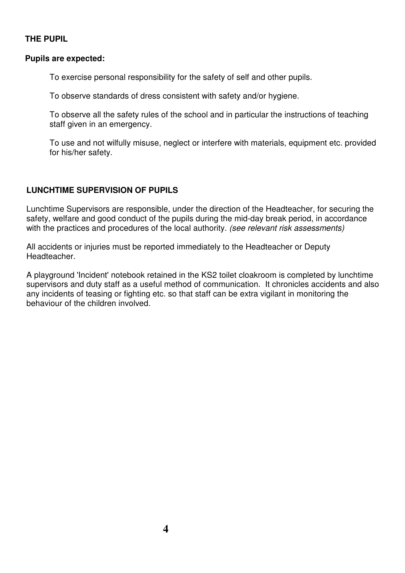# **THE PUPIL**

#### **Pupils are expected:**

To exercise personal responsibility for the safety of self and other pupils.

To observe standards of dress consistent with safety and/or hygiene.

To observe all the safety rules of the school and in particular the instructions of teaching staff given in an emergency.

To use and not wilfully misuse, neglect or interfere with materials, equipment etc. provided for his/her safety.

# **LUNCHTIME SUPERVISION OF PUPILS**

Lunchtime Supervisors are responsible, under the direction of the Headteacher, for securing the safety, welfare and good conduct of the pupils during the mid-day break period, in accordance with the practices and procedures of the local authority. (see relevant risk assessments)

All accidents or injuries must be reported immediately to the Headteacher or Deputy Headteacher.

A playground 'Incident' notebook retained in the KS2 toilet cloakroom is completed by lunchtime supervisors and duty staff as a useful method of communication. It chronicles accidents and also any incidents of teasing or fighting etc. so that staff can be extra vigilant in monitoring the behaviour of the children involved.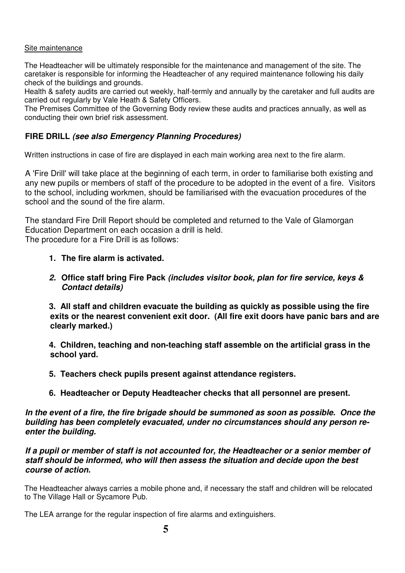#### Site maintenance

The Headteacher will be ultimately responsible for the maintenance and management of the site. The caretaker is responsible for informing the Headteacher of any required maintenance following his daily check of the buildings and grounds.

Health & safety audits are carried out weekly, half-termly and annually by the caretaker and full audits are carried out regularly by Vale Heath & Safety Officers.

The Premises Committee of the Governing Body review these audits and practices annually, as well as conducting their own brief risk assessment.

# **FIRE DRILL (see also Emergency Planning Procedures)**

Written instructions in case of fire are displayed in each main working area next to the fire alarm.

A 'Fire Drill' will take place at the beginning of each term, in order to familiarise both existing and any new pupils or members of staff of the procedure to be adopted in the event of a fire. Visitors to the school, including workmen, should be familiarised with the evacuation procedures of the school and the sound of the fire alarm.

The standard Fire Drill Report should be completed and returned to the Vale of Glamorgan Education Department on each occasion a drill is held. The procedure for a Fire Drill is as follows:

#### **1. The fire alarm is activated.**

**2. Office staff bring Fire Pack (includes visitor book, plan for fire service, keys & Contact details)** 

 **3. All staff and children evacuate the building as quickly as possible using the fire exits or the nearest convenient exit door. (All fire exit doors have panic bars and are clearly marked.)** 

 **4. Children, teaching and non-teaching staff assemble on the artificial grass in the school yard.** 

- **5. Teachers check pupils present against attendance registers.**
- **6. Headteacher or Deputy Headteacher checks that all personnel are present.**

**In the event of a fire, the fire brigade should be summoned as soon as possible. Once the building has been completely evacuated, under no circumstances should any person reenter the building.** 

**If a pupil or member of staff is not accounted for, the Headteacher or a senior member of staff should be informed, who will then assess the situation and decide upon the best course of action.** 

The Headteacher always carries a mobile phone and, if necessary the staff and children will be relocated to The Village Hall or Sycamore Pub.

The LEA arrange for the regular inspection of fire alarms and extinguishers.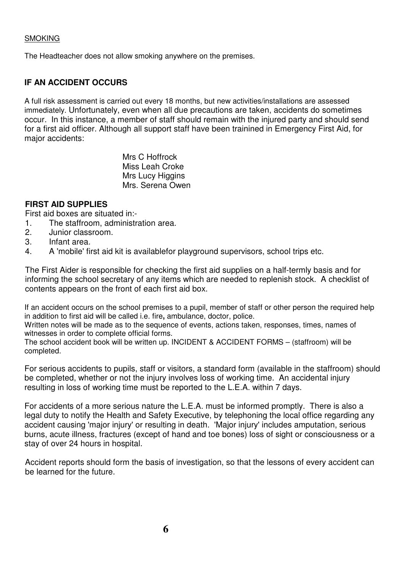#### **SMOKING**

The Headteacher does not allow smoking anywhere on the premises.

## **IF AN ACCIDENT OCCURS**

A full risk assessment is carried out every 18 months, but new activities/installations are assessed immediately. Unfortunately, even when all due precautions are taken, accidents do sometimes occur. In this instance, a member of staff should remain with the injured party and should send for a first aid officer. Although all support staff have been trainined in Emergency First Aid, for major accidents:

> Mrs C Hoffrock Miss Leah Croke Mrs Lucy Higgins Mrs. Serena Owen

### **FIRST AID SUPPLIES**

First aid boxes are situated in:-

- 1. The staffroom, administration area.
- 2. Junior classroom.
- 3. Infant area.
- 4. A 'mobile' first aid kit is availablefor playground supervisors, school trips etc.

The First Aider is responsible for checking the first aid supplies on a half-termly basis and for informing the school secretary of any items which are needed to replenish stock. A checklist of contents appears on the front of each first aid box.

If an accident occurs on the school premises to a pupil, member of staff or other person the required help in addition to first aid will be called i.e. fire**,** ambulance, doctor, police.

Written notes will be made as to the sequence of events, actions taken, responses, times, names of witnesses in order to complete official forms.

The school accident book will be written up. INCIDENT & ACCIDENT FORMS – (staffroom) will be completed.

For serious accidents to pupils, staff or visitors, a standard form (available in the staffroom) should be completed, whether or not the injury involves loss of working time. An accidental injury resulting in loss of working time must be reported to the L.E.A. within 7 days.

For accidents of a more serious nature the L.E.A. must be informed promptly. There is also a legal duty to notify the Health and Safety Executive, by telephoning the local office regarding any accident causing 'major injury' or resulting in death. 'Major injury' includes amputation, serious burns, acute illness, fractures (except of hand and toe bones) loss of sight or consciousness or a stay of over 24 hours in hospital.

Accident reports should form the basis of investigation, so that the lessons of every accident can be learned for the future.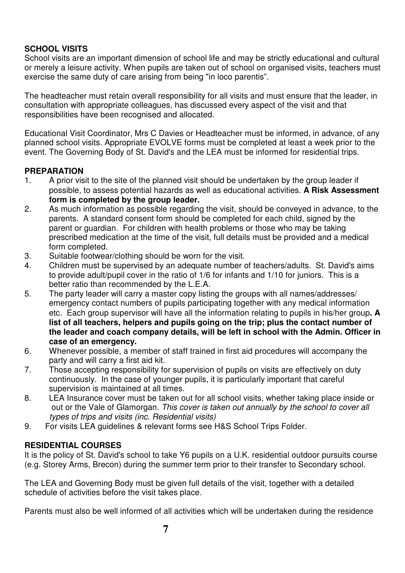# **SCHOOL VISITS**

School visits are an important dimension of school life and may be strictly educational and cultural or merely a leisure activity. When pupils are taken out of school on organised visits, teachers must exercise the same duty of care arising from being "in loco parentis".

The headteacher must retain overall responsibility for all visits and must ensure that the leader, in consultation with appropriate colleagues, has discussed every aspect of the visit and that responsibilities have been recognised and allocated.

Educational Visit Coordinator, Mrs C Davies or Headteacher must be informed, in advance, of any planned school visits. Appropriate EVOLVE forms must be completed at least a week prior to the event. The Governing Body of St. David's and the LEA must be informed for residential trips.

### **PREPARATION**

- 1. A prior visit to the site of the planned visit should be undertaken by the group leader if possible, to assess potential hazards as well as educational activities. **A Risk Assessment form is completed by the group leader.**
- 2. As much information as possible regarding the visit, should be conveyed in advance, to the parents. A standard consent form should be completed for each child, signed by the parent or guardian. For children with health problems or those who may be taking prescribed medication at the time of the visit, full details must be provided and a medical form completed.
- 3. Suitable footwear/clothing should be worn for the visit.
- 4. Children must be supervised by an adequate number of teachers/adults. St. David's aims to provide adult/pupil cover in the ratio of 1/6 for infants and 1/10 for juniors. This is a better ratio than recommended by the L.E.A.
- 5. The party leader will carry a master copy listing the groups with all names/addresses/ emergency contact numbers of pupils participating together with any medical information etc. Each group supervisor will have all the information relating to pupils in his/her group**. A list of all teachers, helpers and pupils going on the trip; plus the contact number of the leader and coach company details, will be left in school with the Admin. Officer in case of an emergency.**
- 6. Whenever possible, a member of staff trained in first aid procedures will accompany the party and will carry a first aid kit.
- 7. Those accepting responsibility for supervision of pupils on visits are effectively on duty continuously. In the case of younger pupils, it is particularly important that careful supervision is maintained at all times.
- 8. LEA Insurance cover must be taken out for all school visits, whether taking place inside or out or the Vale of Glamorgan. This cover is taken out annually by the school to cover all types of trips and visits (inc. Residential visits)
- 9. For visits LEA guidelines & relevant forms see H&S School Trips Folder.

# **RESIDENTIAL COURSES**

It is the policy of St. David's school to take Y6 pupils on a U.K. residential outdoor pursuits course (e.g. Storey Arms, Brecon) during the summer term prior to their transfer to Secondary school.

The LEA and Governing Body must be given full details of the visit, together with a detailed schedule of activities before the visit takes place.

Parents must also be well informed of all activities which will be undertaken during the residence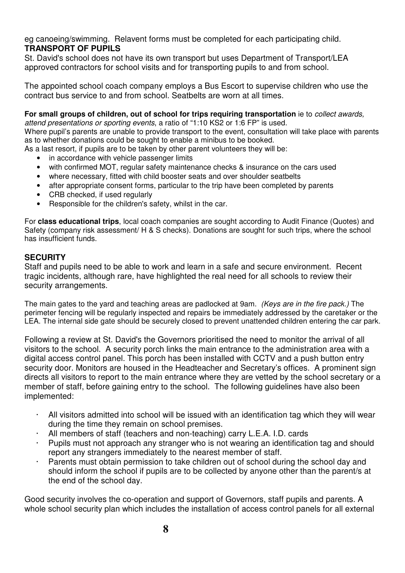eg canoeing/swimming. Relavent forms must be completed for each participating child. **TRANSPORT OF PUPILS** 

St. David's school does not have its own transport but uses Department of Transport/LEA approved contractors for school visits and for transporting pupils to and from school.

The appointed school coach company employs a Bus Escort to supervise children who use the contract bus service to and from school. Seatbelts are worn at all times.

**For small groups of children, out of school for trips requiring transportation** ie to collect awards,

attend presentations or sporting events, a ratio of "1:10 KS2 or 1:6 FP" is used.

Where pupil's parents are unable to provide transport to the event, consultation will take place with parents as to whether donations could be sought to enable a minibus to be booked.

As a last resort, if pupils are to be taken by other parent volunteers they will be:

- in accordance with vehicle passenger limits
- with confirmed MOT, regular safety maintenance checks & insurance on the cars used
- where necessary, fitted with child booster seats and over shoulder seatbelts
- after appropriate consent forms, particular to the trip have been completed by parents
- CRB checked, if used regularly
- Responsible for the children's safety, whilst in the car.

For **class educational trips**, local coach companies are sought according to Audit Finance (Quotes) and Safety (company risk assessment/ H & S checks). Donations are sought for such trips, where the school has insufficient funds.

# **SECURITY**

Staff and pupils need to be able to work and learn in a safe and secure environment. Recent tragic incidents, although rare, have highlighted the real need for all schools to review their security arrangements.

The main gates to the yard and teaching areas are padlocked at 9am. (Keys are in the fire pack.) The perimeter fencing will be regularly inspected and repairs be immediately addressed by the caretaker or the LEA. The internal side gate should be securely closed to prevent unattended children entering the car park.

Following a review at St. David's the Governors prioritised the need to monitor the arrival of all visitors to the school. A security porch links the main entrance to the administration area with a digital access control panel. This porch has been installed with CCTV and a push button entry security door. Monitors are housed in the Headteacher and Secretary's offices. A prominent sign directs all visitors to report to the main entrance where they are vetted by the school secretary or a member of staff, before gaining entry to the school. The following guidelines have also been implemented:

- · All visitors admitted into school will be issued with an identification tag which they will wear during the time they remain on school premises.
- · All members of staff (teachers and non-teaching) carry L.E.A. I.D. cards
- · Pupils must not approach any stranger who is not wearing an identification tag and should report any strangers immediately to the nearest member of staff.
- Parents must obtain permission to take children out of school during the school day and should inform the school if pupils are to be collected by anyone other than the parent/s at the end of the school day.

Good security involves the co-operation and support of Governors, staff pupils and parents. A whole school security plan which includes the installation of access control panels for all external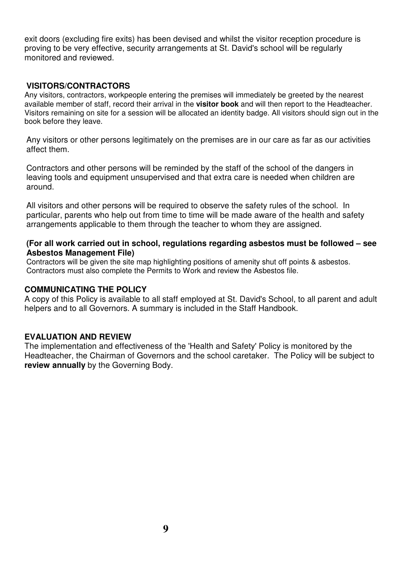exit doors (excluding fire exits) has been devised and whilst the visitor reception procedure is proving to be very effective, security arrangements at St. David's school will be regularly monitored and reviewed.

#### **VISITORS/CONTRACTORS**

Any visitors, contractors, workpeople entering the premises will immediately be greeted by the nearest available member of staff, record their arrival in the **visitor book** and will then report to the Headteacher. Visitors remaining on site for a session will be allocated an identity badge. All visitors should sign out in the book before they leave.

Any visitors or other persons legitimately on the premises are in our care as far as our activities affect them.

Contractors and other persons will be reminded by the staff of the school of the dangers in leaving tools and equipment unsupervised and that extra care is needed when children are around.

All visitors and other persons will be required to observe the safety rules of the school. In particular, parents who help out from time to time will be made aware of the health and safety arrangements applicable to them through the teacher to whom they are assigned.

#### **(For all work carried out in school, regulations regarding asbestos must be followed – see Asbestos Management File)**

Contractors will be given the site map highlighting positions of amenity shut off points & asbestos. Contractors must also complete the Permits to Work and review the Asbestos file.

#### **COMMUNICATING THE POLICY**

A copy of this Policy is available to all staff employed at St. David's School, to all parent and adult helpers and to all Governors. A summary is included in the Staff Handbook.

#### **EVALUATION AND REVIEW**

The implementation and effectiveness of the 'Health and Safety' Policy is monitored by the Headteacher, the Chairman of Governors and the school caretaker. The Policy will be subject to **review annually** by the Governing Body.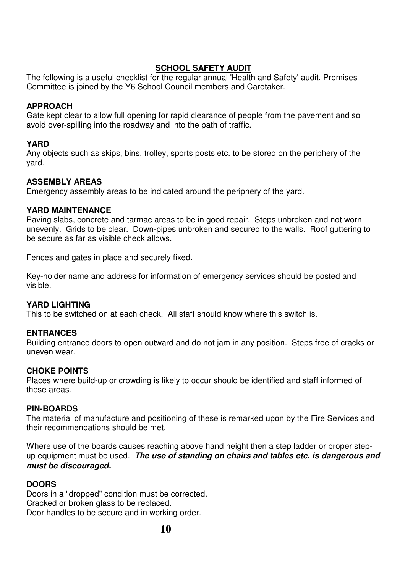# **SCHOOL SAFETY AUDIT**

The following is a useful checklist for the regular annual 'Health and Safety' audit. Premises Committee is joined by the Y6 School Council members and Caretaker.

## **APPROACH**

Gate kept clear to allow full opening for rapid clearance of people from the pavement and so avoid over-spilling into the roadway and into the path of traffic.

### **YARD**

Any objects such as skips, bins, trolley, sports posts etc. to be stored on the periphery of the yard.

### **ASSEMBLY AREAS**

Emergency assembly areas to be indicated around the periphery of the yard.

#### **YARD MAINTENANCE**

Paving slabs, concrete and tarmac areas to be in good repair. Steps unbroken and not worn unevenly. Grids to be clear. Down-pipes unbroken and secured to the walls. Roof guttering to be secure as far as visible check allows.

Fences and gates in place and securely fixed.

Key-holder name and address for information of emergency services should be posted and visible.

# **YARD LIGHTING**

This to be switched on at each check. All staff should know where this switch is.

#### **ENTRANCES**

Building entrance doors to open outward and do not jam in any position. Steps free of cracks or uneven wear.

#### **CHOKE POINTS**

Places where build-up or crowding is likely to occur should be identified and staff informed of these areas.

#### **PIN-BOARDS**

The material of manufacture and positioning of these is remarked upon by the Fire Services and their recommendations should be met.

Where use of the boards causes reaching above hand height then a step ladder or proper stepup equipment must be used. **The use of standing on chairs and tables etc. is dangerous and must be discouraged.** 

#### **DOORS**

Doors in a "dropped" condition must be corrected. Cracked or broken glass to be replaced. Door handles to be secure and in working order.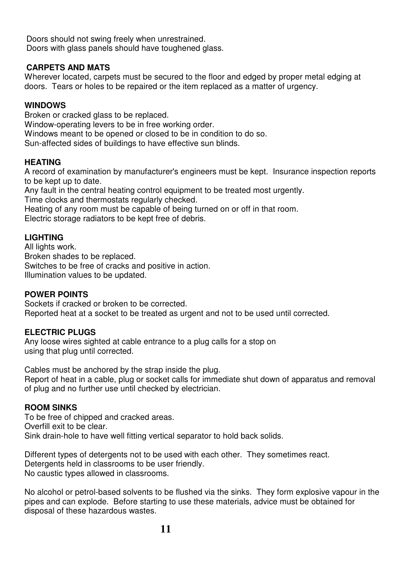Doors should not swing freely when unrestrained. Doors with glass panels should have toughened glass.

# **CARPETS AND MATS**

Wherever located, carpets must be secured to the floor and edged by proper metal edging at doors. Tears or holes to be repaired or the item replaced as a matter of urgency.

# **WINDOWS**

Broken or cracked glass to be replaced. Window-operating levers to be in free working order. Windows meant to be opened or closed to be in condition to do so. Sun-affected sides of buildings to have effective sun blinds.

# **HEATING**

A record of examination by manufacturer's engineers must be kept. Insurance inspection reports to be kept up to date.

Any fault in the central heating control equipment to be treated most urgently. Time clocks and thermostats regularly checked.

Heating of any room must be capable of being turned on or off in that room.

Electric storage radiators to be kept free of debris.

# **LIGHTING**

All lights work. Broken shades to be replaced. Switches to be free of cracks and positive in action. Illumination values to be updated.

# **POWER POINTS**

Sockets if cracked or broken to be corrected. Reported heat at a socket to be treated as urgent and not to be used until corrected.

# **ELECTRIC PLUGS**

Any loose wires sighted at cable entrance to a plug calls for a stop on using that plug until corrected.

Cables must be anchored by the strap inside the plug. Report of heat in a cable, plug or socket calls for immediate shut down of apparatus and removal of plug and no further use until checked by electrician.

# **ROOM SINKS**

To be free of chipped and cracked areas. Overfill exit to be clear. Sink drain-hole to have well fitting vertical separator to hold back solids.

Different types of detergents not to be used with each other. They sometimes react. Detergents held in classrooms to be user friendly. No caustic types allowed in classrooms.

No alcohol or petrol-based solvents to be flushed via the sinks. They form explosive vapour in the pipes and can explode. Before starting to use these materials, advice must be obtained for disposal of these hazardous wastes.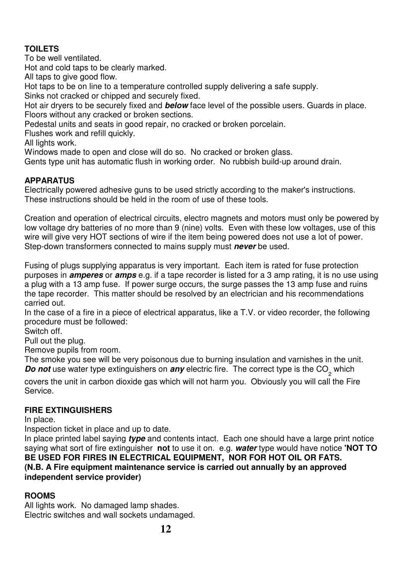# **TOILETS**

To be well ventilated.

Hot and cold taps to be clearly marked.

All taps to give good flow.

Hot taps to be on line to a temperature controlled supply delivering a safe supply.

Sinks not cracked or chipped and securely fixed.

Hot air dryers to be securely fixed and **below** face level of the possible users. Guards in place. Floors without any cracked or broken sections.

Pedestal units and seats in good repair, no cracked or broken porcelain.

Flushes work and refill quickly.

All lights work.

Windows made to open and close will do so. No cracked or broken glass.

Gents type unit has automatic flush in working order. No rubbish build-up around drain.

# **APPARATUS**

Electrically powered adhesive guns to be used strictly according to the maker's instructions. These instructions should be held in the room of use of these tools.

Creation and operation of electrical circuits, electro magnets and motors must only be powered by low voltage dry batteries of no more than 9 (nine) volts. Even with these low voltages, use of this wire will give very HOT sections of wire if the item being powered does not use a lot of power. Step-down transformers connected to mains supply must **never** be used.

Fusing of plugs supplying apparatus is very important. Each item is rated for fuse protection purposes in **amperes** or **amps** e.g. if a tape recorder is listed for a 3 amp rating, it is no use using a plug with a 13 amp fuse. If power surge occurs, the surge passes the 13 amp fuse and ruins the tape recorder. This matter should be resolved by an electrician and his recommendations carried out.

In the case of a fire in a piece of electrical apparatus, like a T.V. or video recorder, the following procedure must be followed:

Switch off.

Pull out the plug.

Remove pupils from room.

The smoke you see will be very poisonous due to burning insulation and varnishes in the unit. **Do not** use water type extinguishers on *any* electric fire. The correct type is the CO<sub>2</sub> which

covers the unit in carbon dioxide gas which will not harm you. Obviously you will call the Fire Service.

# **FIRE EXTINGUISHERS**

In place.

Inspection ticket in place and up to date.

In place printed label saying **type** and contents intact. Each one should have a large print notice saying what sort of fire extinguisher **not** to use it on. e.g. **water** type would have notice **'NOT TO BE USED FOR FIRES IN ELECTRICAL EQUIPMENT, NOR FOR HOT OIL OR FATS. (N.B. A Fire equipment maintenance service is carried out annually by an approved independent service provider)** 

# **ROOMS**

All lights work. No damaged lamp shades. Electric switches and wall sockets undamaged.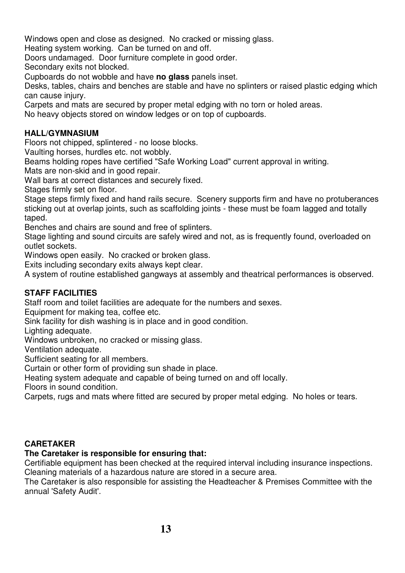Windows open and close as designed. No cracked or missing glass.

Heating system working. Can be turned on and off.

Doors undamaged. Door furniture complete in good order.

Secondary exits not blocked.

Cupboards do not wobble and have **no glass** panels inset.

Desks, tables, chairs and benches are stable and have no splinters or raised plastic edging which can cause injury.

Carpets and mats are secured by proper metal edging with no torn or holed areas.

No heavy objects stored on window ledges or on top of cupboards.

## **HALL/GYMNASIUM**

Floors not chipped, splintered - no loose blocks.

Vaulting horses, hurdles etc. not wobbly.

Beams holding ropes have certified "Safe Working Load" current approval in writing.

Mats are non-skid and in good repair.

Wall bars at correct distances and securely fixed.

Stages firmly set on floor.

Stage steps firmly fixed and hand rails secure. Scenery supports firm and have no protuberances sticking out at overlap joints, such as scaffolding joints - these must be foam lagged and totally taped.

Benches and chairs are sound and free of splinters.

Stage lighting and sound circuits are safely wired and not, as is frequently found, overloaded on outlet sockets.

Windows open easily. No cracked or broken glass.

Exits including secondary exits always kept clear.

A system of routine established gangways at assembly and theatrical performances is observed.

# **STAFF FACILITIES**

Staff room and toilet facilities are adequate for the numbers and sexes.

Equipment for making tea, coffee etc.

Sink facility for dish washing is in place and in good condition.

Lighting adequate.

Windows unbroken, no cracked or missing glass.

Ventilation adequate.

Sufficient seating for all members.

Curtain or other form of providing sun shade in place.

Heating system adequate and capable of being turned on and off locally.

Floors in sound condition.

Carpets, rugs and mats where fitted are secured by proper metal edging. No holes or tears.

#### **CARETAKER**

#### **The Caretaker is responsible for ensuring that:**

Certifiable equipment has been checked at the required interval including insurance inspections. Cleaning materials of a hazardous nature are stored in a secure area.

The Caretaker is also responsible for assisting the Headteacher & Premises Committee with the annual 'Safety Audit'.